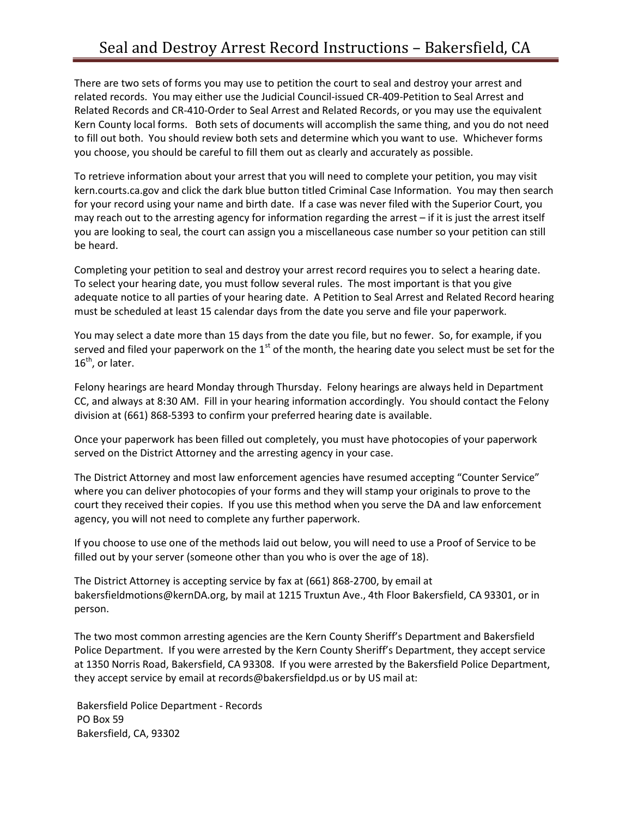There are two sets of forms you may use to petition the court to seal and destroy your arrest and related records. You may either use the Judicial Council-issued CR-409-Petition to Seal Arrest and Related Records and CR-410-Order to Seal Arrest and Related Records, or you may use the equivalent Kern County local forms. Both sets of documents will accomplish the same thing, and you do not need to fill out both. You should review both sets and determine which you want to use. Whichever forms you choose, you should be careful to fill them out as clearly and accurately as possible.

To retrieve information about your arrest that you will need to complete your petition, you may visit kern.courts.ca.gov and click the dark blue button titled Criminal Case Information. You may then search for your record using your name and birth date. If a case was never filed with the Superior Court, you may reach out to the arresting agency for information regarding the arrest – if it is just the arrest itself you are looking to seal, the court can assign you a miscellaneous case number so your petition can still be heard.

Completing your petition to seal and destroy your arrest record requires you to select a hearing date. To select your hearing date, you must follow several rules. The most important is that you give adequate notice to all parties of your hearing date. A Petition to Seal Arrest and Related Record hearing must be scheduled at least 15 calendar days from the date you serve and file your paperwork.

You may select a date more than 15 days from the date you file, but no fewer. So, for example, if you served and filed your paperwork on the  $1<sup>st</sup>$  of the month, the hearing date you select must be set for the  $16<sup>th</sup>$ , or later.

Felony hearings are heard Monday through Thursday. Felony hearings are always held in Department CC, and always at 8:30 AM. Fill in your hearing information accordingly. You should contact the Felony division at (661) 868-5393 to confirm your preferred hearing date is available.

Once your paperwork has been filled out completely, you must have photocopies of your paperwork served on the District Attorney and the arresting agency in your case.

The District Attorney and most law enforcement agencies have resumed accepting "Counter Service" where you can deliver photocopies of your forms and they will stamp your originals to prove to the court they received their copies. If you use this method when you serve the DA and law enforcement agency, you will not need to complete any further paperwork.

If you choose to use one of the methods laid out below, you will need to use a Proof of Service to be filled out by your server (someone other than you who is over the age of 18).

The District Attorney is accepting service by fax at (661) 868-2700, by email at bakersfieldmotions@kernDA.org, by mail at 1215 Truxtun Ave., 4th Floor Bakersfield, CA 93301, or in person.

The two most common arresting agencies are the Kern County Sheriff's Department and Bakersfield Police Department. If you were arrested by the Kern County Sheriff's Department, they accept service at 1350 Norris Road, Bakersfield, CA 93308. If you were arrested by the Bakersfield Police Department, they accept service by email at records@bakersfieldpd.us or by US mail at:

 Bakersfield Police Department - Records PO Box 59 Bakersfield, CA, 93302